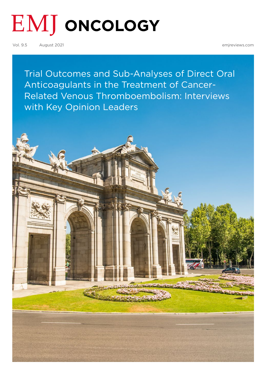# **EMJ** ONCOLOGY

Vol. 9.5 August 2021 [emjreviews.com](https://www.emjreviews.com/)

[Trial Outcomes and Sub-Analyses of Direct Oral](#page-1-0)  Anticoagulants in the Treatment of Cancer-Related Venous Thromboembolism: Interviews with Key Opinion Leaders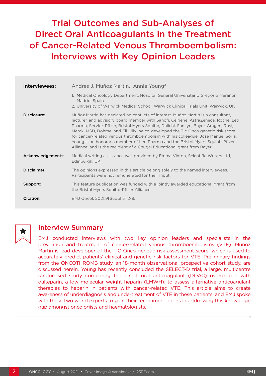## <span id="page-1-0"></span>Trial Outcomes and Sub-Analyses of Direct Oral Anticoagulants in the Treatment of Cancer-Related Venous Thromboembolism: Interviews with Key Opinion Leaders

| Interviewees:     | Andres J. Muñoz Martin, <sup>1</sup> Annie Young <sup>2</sup>                                                                                                                                                                                                                                                                                                                                                                                                                                                                                                                                        |
|-------------------|------------------------------------------------------------------------------------------------------------------------------------------------------------------------------------------------------------------------------------------------------------------------------------------------------------------------------------------------------------------------------------------------------------------------------------------------------------------------------------------------------------------------------------------------------------------------------------------------------|
|                   | 1. Medical Oncology Department, Hospital General Universitario Gregorio Marañón,<br>Madrid, Spain<br>2. University of Warwick Medical School, Warwick Clinical Trials Unit, Warwick, UK                                                                                                                                                                                                                                                                                                                                                                                                              |
| Disclosure:       | Muñoz Martin has declared no conflicts of interest. Muñoz Martin is a consultant.<br>lecturer, and advisory board member with Sanofi, Celgene, AstraZeneca, Roche, Leo<br>Pharma, Servier, Pfizer, Bristol Myers Squibb, Daiichi, Sankyo, Bayer, Amgen, Rovi,<br>Merck, MSD, Dohme, and Eli Lilly; he co-developed the Tic-Onco genetic risk score<br>for cancer-related venous thromboembolism with his colleague, José Manuel Soria.<br>Young is an honoraria member of Leo Pharma and the Bristol Myers Squibb-Pfizer<br>Alliance; and is the recipient of a Chugai Educational grant from Bayer. |
| Acknowledgements: | Medical writing assistance was provided by Emma Vinton, Scientific Writers Ltd,<br>Edinburgh, UK.                                                                                                                                                                                                                                                                                                                                                                                                                                                                                                    |
| Disclaimer:       | The opinions expressed in this article belong solely to the named interviewees.<br>Participants were not remunerated for their input.                                                                                                                                                                                                                                                                                                                                                                                                                                                                |
| Support:          | This feature publication was funded with a jointly awarded educational grant from<br>the Bristol Myers Squibb-Pfizer Alliance.                                                                                                                                                                                                                                                                                                                                                                                                                                                                       |
| Citation:         | EMJ Oncol. 2021;9[Suppl 5]:2-8.                                                                                                                                                                                                                                                                                                                                                                                                                                                                                                                                                                      |



### Interview Summary

EMJ conducted interviews with two key opinion leaders and specialists in the prevention and treatment of cancer-related venous thromboembolisms (VTE). Muñoz Martin is lead developer of the TiC-Onco genetic risk-assessment score, which is used to accurately predict patients' clinical and genetic risk factors for VTE. Preliminary findings from the ONCOTHROMB study, an 18-month observational prospective cohort study, are discussed herein. Young has recently concluded the SELECT-D trial, a large, multicentre randomised study comparing the direct oral anticoagulant (DOAC) rivaroxaban with dalteparin, a low molecular weight heparin (LMWH), to assess alternative anticoagulant therapies to heparin in patients with cancer-related VTE. This article aims to create awareness of underdiagnosis and undertreatment of VTE in these patients, and EMJ spoke with these two world experts to gain their recommendations in addressing this knowledge gap amongst oncologists and haematologists.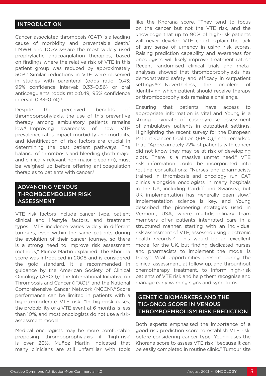#### INTRODUCTION

Cancer-associated thrombosis (CAT) is a leading cause of morbidity and preventable death.<sup>1</sup> LMWH and  $DOACs<sup>2,3</sup>$  are the most widely used prophylactic anticoagulation therapies, based on findings where the relative risk of VTE in this patient group was reduced by approximately 50%.4 Similar reductions in VTE were observed in studies with parenteral (odds ratio: 0.43; 95% confidence interval: 0.33–0.56) or oral anticoagulants (odds ratio:0.49; 95% confidence interval: 0.33–0.74).5

Despite the perceived benefits of thromboprophylaxis, the use of this preventive therapy among ambulatory patients remains low.6 Improving awareness of how VTE prevalence rates impact morbidity and mortality, and identification of risk factors are crucial in determining the best patient pathways. The balance of thrombosis and bleeding (both major and clinically relevant non-major bleeding), must be weighed up before offering anticoagulation therapies to patients with cancer.<sup>1</sup>

#### ADVANCING VENOUS THROMBOEMBOLISM RISK ASSESSMENT

VTE risk factors include cancer type, patient clinical and lifestyle factors, and treatment types. "VTE incidence varies widely in different tumours, even within the same patients during the evolution of their cancer journey, so there is a strong need to improve risk assessment methods," Muñoz Martin explained. The Khorana score was introduced in 2008 and is considered the gold standard. It is recommended in guidance by the American Society of Clinical Oncology (ASCO),<sup>7</sup> the International Initiative on Thrombosis and Cancer (ITAC),<sup>8</sup> and the National Comprehensive Cancer Network (NCCN).9 Score performance can be limited in patients with a high-to-moderate VTE risk. "In high-risk cases, the probability of a VTE event at 6 months is less than 10%, and most oncologists do not use a riskassessment model."

Medical oncologists may be more comfortable proposing thromboprophylaxis if 'high-risk' is over 20%. Muñoz Martin indicated that many clinicians are still unfamiliar with tools like the Khorana score. "They tend to focus on the cancer but not the VTE risk, and the knowledge that up to 90% of high-risk patients will never develop VTE could explain the lack of any sense of urgency in using risk scores. Raising prediction capability and awareness for oncologists will likely improve treatment rates." Recent randomised clinical trials and metaanalyses showed that thromboprophylaxis has demonstrated safety and efficacy in outpatient settings.<sup>5,10</sup> Nevertheless, the problem of identifying which patient should receive therapy or thromboprophylaxis remains a challenge.

Ensuring that patients have access to appropriate information is vital and Young is a strong advocate of case-by-case assessment of ambulatory patients in outpatient settings. Highlighting the recent survey for the European Patient Cancer Coalition (EPCC),<sup>11</sup> she remarked that: "Approximately 72% of patients with cancer did not know they may be at risk of developing clots. There is a massive unmet need." VTE risk information could be incorporated into routine consultations: "Nurses and pharmacists trained in thrombosis and oncology run CAT clinics alongside oncologists in many hospitals in the UK, including Cardiff and Swansea, but UK implementation has generally been slow." Implementation science is key, and Young described the pioneering strategies used in Vermont, USA, where multidisciplinary team members offer patients integrated care in a structured manner, starting with an individual risk assessment of VTE, assessed using electronic health records.<sup>12</sup> "This would be an excellent model for the UK, but finding dedicated nurses and pharmacists to implement the model is tricky." Vital opportunities present during the clinical assessment, at follow-up, and throughout chemotherapy treatment, to inform high-risk patients of VTE risk and help them recognise and manage early warning signs and symptoms.

#### GENETIC BIOMARKERS AND THE TIC-ONCO SCORE IN VENOUS THROMBOEMBOLISM RISK PREDICTION

Both experts emphasised the importance of a good risk prediction score to establish VTE risk, before considering cancer type. Young uses the Khorana score to assess VTE risk "because it can be easily completed in routine clinic." Tumour site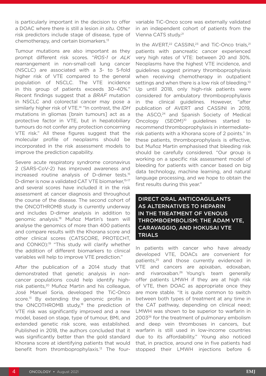is particularly important in the decision to offer a DOAC where there is still a lesion *in situ*. Other risk predictors include stage of disease, type of chemotherapy, and certain biomarkers.13

Tumour mutations are also important as they prompt different risk scores. "*ROS-1* or *ALK*  rearrangement in non-small-cell lung cancer (NSCLC) are associated with a 3- to 5-fold higher risk of VTE compared to the general population of NSCLC. The VTE incidence in this group of patients exceeds 30–40%." Recent findings suggest that a *BRAF* mutation in NSCLC and colorectal cancer may pose a similarly higher risk of VTE.14 "In contrast, the *IDH* mutations in gliomas [brain tumours] act as a protective factor in VTE, but in hepatobiliary tumours do not confer any protection concerning VTE risk." All these figures suggest that the molecular profile of neoplasms should be incorporated in the risk assessment models to improve the prediction capability.

Severe acute respiratory syndrome coronavirus 2 (SARS-CoV-2) has improved awareness and increased routine analysis of D-dimer tests.15 D-dimer is now a validated CAT VTE biomarker,<sup>15-17</sup> and several scores have included it in the risk assessment at cancer diagnosis and throughout the course of the disease. The second cohort of the ONCOTHROMB study is currently underway and includes D-dimer analysis in addition to genomic analysis.18 Muñoz Martin's team will analyse the genomics of more than 400 patients and compare results with the Khorana score and other clinical scores (CATSCORE, PROTECHT, and CONKO):<sup>19</sup> "This study will clarify whether the addition of different biomarkers to clinical variables will help to improve VTE prediction."

After the publication of a 2014 study that demonstrated that genetic analysis in noncancer populations could help identify highrisk patients,20 Muñoz Martin and his colleague, José Manuel Soria, developed the TiC-Onco score.<sup>13</sup> By extending the genomic profile in the ONCOTHROMB study,<sup>18</sup> the prediction of VTE risk was significantly improved and a new model, based on stage, type of tumour, BMI, and extended genetic risk score, was established. Published in 2018, the authors concluded that it was significantly better than the gold standard Khorana score at identifying patients that would benefit from thromboprophylaxis.13 The four-

variable TiC-Onco score was externally validated in an independent cohort of patients from the Vienna CATS study.21

In the AVERT,<sup>22</sup> CASSINI,<sup>23</sup> and TiC-Onco trials,<sup>21</sup> patients with pancreatic cancer experienced very high rates of VTE: between 20 and 30%. Neoplasms have the highest VTE incidence, and guidelines suggest primary thromboprophylaxis when receiving chemotherapy in outpatient settings and when there is a low risk of bleeding.<sup>10</sup> Up until 2018, only high-risk patients were considered for ambulatory thromboprophylaxis in the clinical guidelines. However, "after publication of AVERT and CASSINI in 2019, the  $ASCO<sub>1</sub><sup>24</sup>$  and Spanish Society of Medical Oncology (SEOM)<sup>10</sup> guidelines started to recommend thromboprophylaxis in intermediaterisk patients with a Khorana score of 2 points." In these patients, thromboprophylaxis is effective, but Muñoz Martin emphasised that bleeding risk should be carefully considered. "Our group is working on a specific risk assessment model of bleeding for patients with cancer based on big data technology, machine learning, and natural language processing, and we hope to obtain the first results during this year."

DIRECT ORAL ANTICOAGULANTS AS ALTERNATIVES TO HEPARIN IN THE TREATMENT OF VENOUS THROMBOEMBOLISM: THE ADAM VTE, CARAVAGGIO, AND HOKUSAI VTE TRIALS

In patients with cancer who have already developed VTE, DOACs are convenient for patients,<sup>25</sup> and those currently evidenced in VTE and cancers are apixaban, edoxaban, and rivaroxaban.<sup>26</sup> Young's team generally offer patients LMWH if they are at high risk of VTE, then DOAC as appropriate once they are more stable. "It is quite common to switch between both types of treatment at any time in the CAT pathway, depending on clinical need; LMWH was shown to be superior to warfarin in 200326 for the treatment of pulmonary embolism and deep vein thromboses in cancers, but warfarin is still used in low-income countries due to its affordability." Young also noticed that, in practice, around one in five patients had stopped their LMWH injections before 6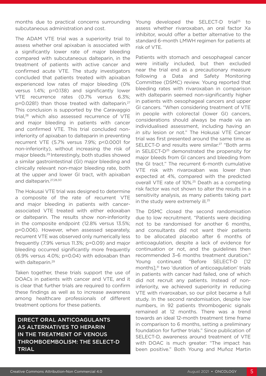months due to practical concerns surrounding subcutaneous administration and cost.

The ADAM VTE trial was a superiority trial to assess whether oral apixaban is associated with a significantly lower rate of major bleeding compared with subcutaneous dalteparin, in the treatment of patients with active cancer and confirmed acute VTE. The study investigators concluded that patients treated with apixaban experienced low rates of major bleeding (0% versus 1.4%; p=0.138) and significantly lower VTE recurrence rates (0.7% versus 6.3%; p=0.0281) than those treated with dalteparin.27 This conclusion is supported by the Caravaggio trial,28 which also assessed recurrence of VTE and major bleeding in patients with cancer and confirmed VTE. This trial concluded noninferiority of apixaban to dalteparin in preventing recurrent VTE (5.7% versus 7.9%; p<0.0001 for non-inferiority), without increasing the risk of major bleeds.29 Interestingly, both studies showed a similar gastrointestinal (GI) major bleeding and clinically relevant non-major bleeding rate, both at the upper and lower GI tract, with apixaban and dalteparin.27,28,30

The Hokusai VTE trial was designed to determine a composite of the rate of recurrent VTE and major bleeding in patients with cancerassociated VTE treated with either edoxaban or dalteparin. The results show non-inferiority in the composite endpoint (12.8% versus 13.5%; p=0.006). However, when assessed separately, recurrent VTE was observed only numerically less frequently (7.9% versus 11.3%; p=0.09) and major bleeding occurred significantly more frequently (6.9% versus 4.0%; p=0.04) with edoxaban than with dalteparin.<sup>29</sup>

Taken together, these trials support the use of DOACs in patients with cancer and VTE, and it is clear that further trials are required to confirm these findings as well as to increase awareness among healthcare professionals of different treatment options for these patients.

DIRECT ORAL ANTICOAGULANTS AS ALTERNATIVES TO HEPARIN IN THE TREATMENT OF VENOUS THROMBOEMBOLISM: THE SELECT-D TRIAL

Young developed the SELECT-D trial<sup>25</sup> to assess whether rivaroxaban, an oral factor Xa inhibitor, would offer a better alternative to the standard 6-month LMWH regimen for patients at risk of VTE.

Patients with stomach and oesophageal cancer were initially included, but then excluded near the trial end as a precautionary measure following a Data and Safety Monitoring Committee (DSMC) review. Young reported that bleeding rates with rivaroxaban in comparison with dalteparin seemed non-significantly higher in patients with oesophageal cancers and upper GI cancers. "When considering treatment of VTE in people with colorectal (lower GI) cancers, considerations should always be made via an individualised assessment, including having an *in situ* lesion or not." The Hokusai VTE Cancer trial was first presented around the same time as SELECT-D and results were similar.<sup>27</sup> "Both arms in SELECT-D<sup>25</sup> demonstrated the propensity for major bleeds from GI cancers and bleeding from the GI tract." The recurrent 6-month cumulative VTE risk with rivaroxaban was lower than expected at 4%, compared with the predicted overall VTE rate of 10%.25 Death as a competing risk factor was not shown to alter the results in a sensitivity analysis, as many patients taking part in the study were extremely ill.<sup>25</sup>

The DSMC closed the second randomisation due to low recruitment. "Patients were deciding not to be randomised for another 6 months, and consultants did not want their patients to be allocated placebo after 6 months of anticoagulation, despite a lack of evidence for continuation or not, and the guidelines then recommended 3–6 months treatment duration." Young continued: "Before SELECT-D [12 months],31 two 'duration of anticoagulation' trials in patients with cancer had failed, one of which did not recruit any patients. Instead of noninferiority, we achieved superiority in reducing VTE with rivaroxaban, so our pilot became a full study. In the second randomisation, despite low numbers, in 92 patients thrombogenic signals remained at 12 months. There was a trend towards an ideal 12-month treatment time frame in comparison to 6 months, setting a preliminary foundation for further trials." Since publication of SELECT-D, awareness around treatment of VTE with DOAC is much greater: "The impact has been positive." Both Young and Muñoz Martin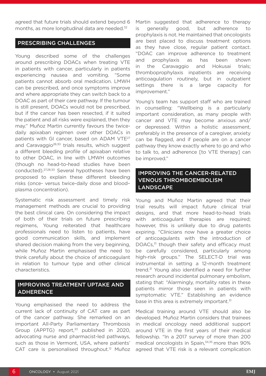agreed that future trials should extend beyond 6 months, as more longitudinal data are needed.<sup>32</sup>

#### PRESCRIBING CHALLENGES

Young described some of the challenges around prescribing DOACs when treating VTE in patients with cancer, particularly in patients experiencing nausea and vomiting. "Some patients cannot absorb oral medication. LMWH can be prescribed, and once symptoms improve and where appropriate they can switch back to a DOAC as part of their care pathway. If the tumour is still present, DOACs would not be prescribed, but if the cancer has been resected, if it suited the patient and all risks were explained, then they may." Muñoz Martin currently favours the twicedaily apixaban regimen over other DOACs in patients with GI cancer, based on ADAM VTE<sup>27</sup> and Caravaggio<sup>28,30</sup> trials results, which suggest a different bleeding profile of apixaban relative to other DOAC, in line with LMWH outcomes (though no head-to-head studies have been conducted).27,28,30 Several hypotheses have been proposed to explain these different bleeding risks (once- versus twice-daily dose and blood– plasma concentration).

Systematic risk assessment and timely risk management methods are crucial to providing the best clinical care. On considering the impact of both of their trials on future prescribing regimens, Young reiterated that healthcare professionals need to listen to patients, have good communication skills, and implement shared decision making from the very beginning, while Muñoz Martin emphasised the need to think carefully about the choice of anticoagulant in relation to tumour type and other clinical characteristics.

#### IMPROVING TREATMENT UPTAKE AND ADHERENCE

Young emphasised the need to address the current lack of continuity of CAT care as part of the cancer pathway. She remarked on an important All-Party Parliamentary Thrombosis Group (APPTG) report, $33$  published in 2020, advocating nurse and pharmacist-led pathways, such as those in Vermont, USA, where patients' CAT care is personalised throughout.<sup>12</sup> Muñoz Martin suggested that adherence to therapy is generally good, but adherence to prophylaxis is not. He maintained that oncologists are best placed to discuss treatment options as they have close, regular patient contact. "DOAC can improve adherence to treatment and prophylaxis as has been shown in the Caravaggio and Hokusai trials; thromboprophylaxis inpatients are receiving anticoagulation routinely, but in outpatient settings there is a large capacity for improvement."

Young's team has support staff who are trained in counselling: "Wellbeing is a particularly important consideration, as many people with cancer and VTE may become anxious and/ or depressed. Within a holistic assessment, preferably in the presence of a caregiver, anxiety can be flagged, and if people are on a cancer pathway they know exactly where to go and who to talk to, and adherence [to VTE therapy] can be improved."

#### IMPROVING THE CANCER-RELATED VENOUS THROMBOEMBOLISM LANDSCAPE

Young and Muñoz Martin agreed that their trial results will impact future clinical trial designs, and that more head-to-head trials with anticoagulant therapies are required; however, this is unlikely due to drug patents expiring. "Clinicians now have a greater choice of anticoagulants with the introduction of DOACs,<sup>31</sup> though their safety and efficacy must be carefully considered, particularly among high-risk groups." The SELECT-D trial was instrumental in setting a 12-month treatment trend.<sup>31</sup> Young also identified a need for further research around incidental pulmonary embolism, stating that: "Alarmingly, mortality rates in these patients mirror those seen in patients with symptomatic VTE." Establishing an evidence base in this area is extremely important.<sup>31</sup>

Medical training around VTE should also be developed. Muñoz Martin considers that trainees in medical oncology need additional support around VTE in the first years of their medical fellowship. "In a 2017 survey of more than 200 medical oncologists in Spain,<sup>34,35</sup> more than 90% agreed that VTE risk is a relevant complication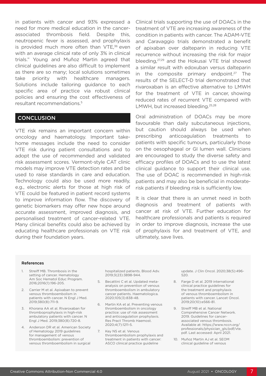in patients with cancer and 93% expressed a need for more medical education in the cancerassociated thrombosis field. Despite this, neutropenic fever is assessed, and prophylaxis is provided much more often than  $VTE$ ,<sup>36</sup> even with an average clinical rate of only 3% in clinical trials." Young and Muñoz Martin agreed that clinical guidelines are also difficult to implement as there are so many; local solutions sometimes take priority with healthcare managers. Solutions include tailoring guidance to each specific area of practice via robust clinical policies and ensuring the cost effectiveness of resultant recommendations.5

#### **CONCLUSION**

VTE risk remains an important concern within oncology and haematology. Important takehome messages include the need to consider VTE risk during patient consultations and to adopt the use of recommended and validated risk assessment scores. Vermont-style CAT clinic models may improve VTE detection rates and be used to raise standards in care and education. Technology could also be used more readily, e.g., electronic alerts for those at high risk of VTE could be featured in patient record systems to improve information flow. The discovery of genetic biomarkers may offer new hope around accurate assessment, improved diagnosis, and personalised treatment of cancer-related VTE. Many clinical benefits could also be achieved by educating healthcare professionals on VTE risk during their foundation years.

Clinical trials supporting the use of DOACs in the treatment of VTE are increasing awareness of the condition in patients with cancer. The ADAM-VTE and Caravaggio trials demonstrated a benefit of apixaban over dalteparin in reducing VTE recurrence without increasing the risk for major bleeding,27,29 and the Hokusai VTE trial showed a similar result with edoxuban versus dalteparin in the composite primary endpoint.<sup>27</sup> The results of the SELECT-D trial demonstrated that rivaroxaban is an effective alternative to LMWH for the treatment of VTE in cancer, showing reduced rates of recurrent VTE compared with LMWH, but increased bleeding.<sup>25,28</sup>

Oral administration of DOACs may be more favourable than daily subcutaneous injections, but caution should always be used when prescribing anticoagulation treatments to patients with specific tumours, particularly those on the oesophageal or GI lumen wall. Clinicians are encouraged to study the diverse safety and efficacy profiles of DOACs and to use the latest clinical guidance to support their clinical use. The use of DOAC is recommended in high-risk patients and may also be beneficial in moderaterisk patients if bleeding risk is sufficiently low.

It is clear that there is an unmet need in both diagnosis and treatment of patients with cancer at risk of VTE. Further education for healthcare professionals and patients is required in order to improve diagnosis, increase the use of prophylaxis for and treatment of VTE, and ultimately, save lives.

#### References

- 1. Streiff MB. Thrombosis in the setting of cancer. Hematology Am Soc Hematol Educ Program. 2016;2016(1):196-205.
- 2. Carrier M et al. Apixaban to prevent venous thromboembolism in patients with cancer. N Engl J Med. 2019;380(8):711-9.
- 3. Khorana AA et al. Rivaroxaban for thromboprophylaxis in high-risk ambulatory patients with cancer. N Engl J Med. 2019;380(8):720-8.
- 4. Anderson DR et al. American Society of Hematology 2019 guidelines for management of venous thromboembolism: prevention of venous thromboembolism in surgical

hospitalized patients. Blood Adv. 2019;3(23):3898-944.

- 5. Becattini C et al. Updated metaanalysis on prevention of venous thromboembolism in ambulatory cancer patients. Haematologica. 2020;105(3):838-48.
- 6. Martin KA et al. Preventing venous thromboembolism in oncology practice: use of risk assessment and anticoagulation prophylaxis. Res Pract Thromb Haemost. 2020;4(7):1211-5.
- 7. Key NS et al. Venous thromboembolism prophylaxis and treatment in patients with cancer: ASCO clinical practice guideline

update. J Clin Oncol. 2020;38(5):496- 520.

- 8. Farge D et al. 2019 international clinical practice guidelines for the treatment and prophylaxis of venous thromboembolism in patients with cancer. Lancet Oncol. 2019;20(10):e566-81.
- 9. Streiff MB et al. National Comprehensive Cancer Network. 2019. Guidelines for cancerassociated venous thrombosis. Available at: https://www.nccn.org/ professionals/physician\_gls/pdf/vte. pdf. Last accessed: April 2021.
- 10. Muñoz Martin AJ et al. SEOM clinical guideline of venous